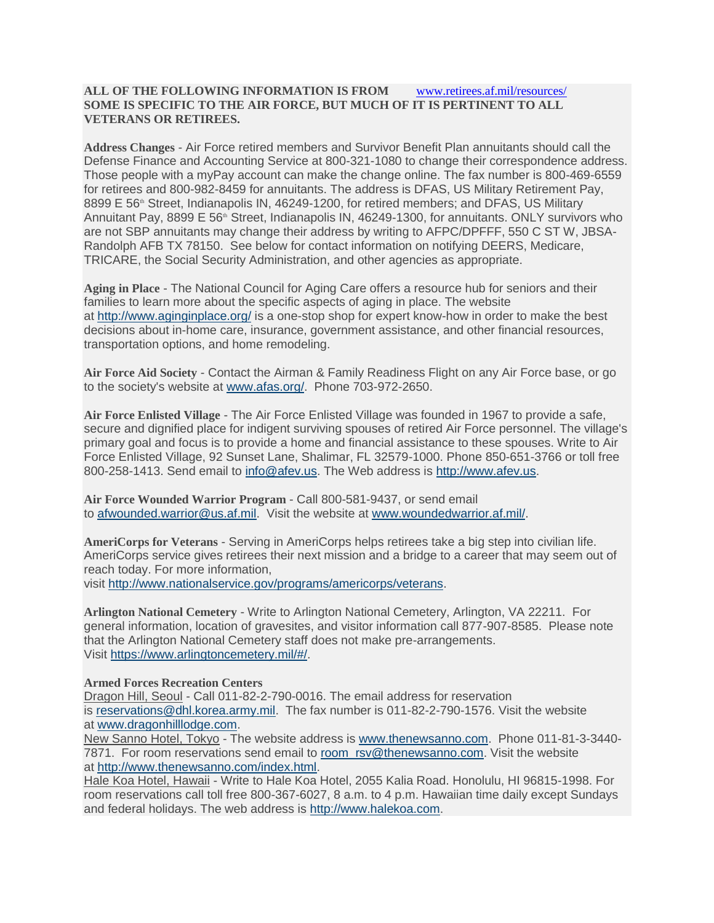## **ALL OF THE FOLLOWING INFORMATION IS FROM** [www.retirees.af.mil/resources/](http://www.retirees.af.mil/resources/) **SOME IS SPECIFIC TO THE AIR FORCE, BUT MUCH OF IT IS PERTINENT TO ALL VETERANS OR RETIREES.**

**Address Changes** - Air Force retired members and Survivor Benefit Plan annuitants should call the Defense Finance and Accounting Service at 800-321-1080 to change their correspondence address. Those people with a myPay account can make the change online. The fax number is 800-469-6559 for retirees and 800-982-8459 for annuitants. The address is DFAS, US Military Retirement Pay, 8899 E 56<sup>th</sup> Street, Indianapolis IN, 46249-1200, for retired members; and DFAS, US Military Annuitant Pay, 8899 E 56<sup>th</sup> Street, Indianapolis IN, 46249-1300, for annuitants. ONLY survivors who are not SBP annuitants may change their address by writing to AFPC/DPFFF, 550 C ST W, JBSA-Randolph AFB TX 78150. See below for contact information on notifying DEERS, Medicare, TRICARE, the Social Security Administration, and other agencies as appropriate.

**Aging in Place** - The National Council for Aging Care offers a resource hub for seniors and their families to learn more about the specific aspects of aging in place. The website at <http://www.aginginplace.org/> is a one-stop shop for expert know-how in order to make the best decisions about in-home care, insurance, government assistance, and other financial resources, transportation options, and home remodeling.

**Air Force Aid Society** - Contact the Airman & Family Readiness Flight on any Air Force base, or go to the society's website at [www.afas.org/.](file:///R:/10-11%20-%20Retiree%20Services%20-%20SBP/Tammy/RETIREE%20SERVICES%20PUBLIC%20WEB/RESOURCES/www.afas.org/) Phone 703-972-2650.

**Air Force Enlisted Village** - The Air Force Enlisted Village was founded in 1967 to provide a safe, secure and dignified place for indigent surviving spouses of retired Air Force personnel. The village's primary goal and focus is to provide a home and financial assistance to these spouses. Write to Air Force Enlisted Village, 92 Sunset Lane, Shalimar, FL 32579-1000. Phone 850-651-3766 or toll free 800-258-1413. Send email to [info@afev.us.](mailto:info@afev.us) The Web address is [http://www.afev.us.](http://www.afev.us/)

**Air Force Wounded Warrior Program** - Call 800-581-9437, or send email to [afwounded.warrior@us.af.mil.](mailto:afwounded.warrior@us.af.mil) Visit the website at www.woundedwarrior.af.mil.

**AmeriCorps for Veterans** - Serving in AmeriCorps helps retirees take a big step into civilian life. AmeriCorps service gives retirees their next mission and a bridge to a career that may seem out of reach today. For more information, visit [http://www.nationalservice.gov/programs/americorps/veterans.](http://www.nationalservice.gov/programs/americorps/veterans)

**Arlington National Cemetery** - Write to Arlington National Cemetery, Arlington, VA 22211. For general information, location of gravesites, and visitor information call 877-907-8585. Please note that the Arlington National Cemetery staff does not make pre-arrangements. Visit [https://www.arlingtoncemetery.mil/#/.](https://www.arlingtoncemetery.mil/#/)

**Armed Forces Recreation Centers**

Dragon Hill, Seoul - Call 011-82-2-790-0016. The email address for reservation is [reservations@dhl.korea.army.mil.](mailto:reservations@dhl.korea.army.mil) The fax number is 011-82-2-790-1576. Visit the website at [www.dragonhilllodge.com.](file:///R:/10-11%20-%20Retiree%20Services%20-%20SBP/Tammy/RETIREE%20SERVICES%20PUBLIC%20WEB/RESOURCES/www.dragonhilllodge.com)

New Sanno Hotel, Tokyo - The website address is [www.thenewsanno.com.](file:///R:/10-11%20-%20Retiree%20Services%20-%20SBP/Tammy/RETIREE%20SERVICES%20PUBLIC%20WEB/RESOURCES/www.thenewsanno.com) Phone 011-81-3-3440- 7871. For room reservations send email to [room\\_rsv@thenewsanno.com.](mailto:room_rsv@thenewsanno.com) Visit the website at [http://www.thenewsanno.com/index.html.](http://www.thenewsanno.com/index.html)

Hale Koa Hotel, Hawaii - Write to Hale Koa Hotel, 2055 Kalia Road. Honolulu, HI 96815-1998. For room reservations call toll free 800-367-6027, 8 a.m. to 4 p.m. Hawaiian time daily except Sundays and federal holidays. The web address is [http://www.halekoa.com.](http://www.halekoa.com/)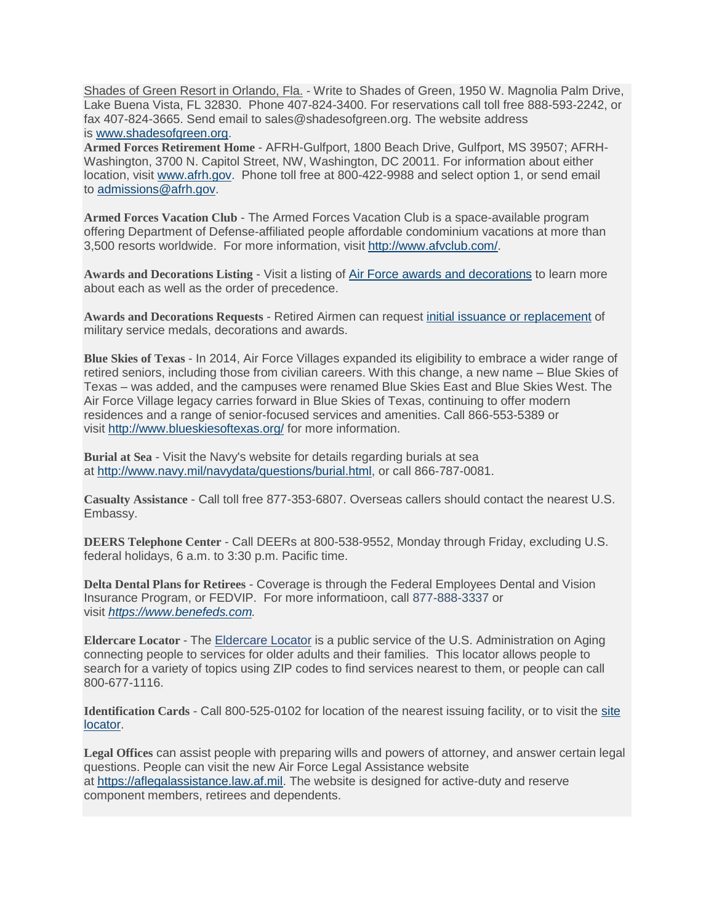Shades of Green Resort in Orlando, Fla. - Write to Shades of Green, 1950 W. Magnolia Palm Drive, Lake Buena Vista, FL 32830. Phone 407-824-3400. For reservations call toll free 888-593-2242, or fax 407-824-3665. Send email to sales@shadesofgreen.org. The website address is [www.shadesofgreen.org.](file:///R:/10-11%20-%20Retiree%20Services%20-%20SBP/Tammy/RETIREE%20SERVICES%20PUBLIC%20WEB/RESOURCES/www.shadesofgreen.org)

**Armed Forces Retirement Home** - AFRH-Gulfport, 1800 Beach Drive, Gulfport, MS 39507; AFRH-Washington, 3700 N. Capitol Street, NW, Washington, DC 20011. For information about either location, visit [www.afrh.gov.](file:///R:/10-11%20-%20Retiree%20Services%20-%20SBP/Tammy/RETIREE%20SERVICES%20PUBLIC%20WEB/RESOURCES/www.afrh.gov) Phone toll free at 800-422-9988 and select option 1, or send email to [admissions@afrh.gov.](mailto:admissions@afrh.gov)

**Armed Forces Vacation Club** - The Armed Forces Vacation Club is a space-available program offering Department of Defense-affiliated people affordable condominium vacations at more than 3,500 resorts worldwide. For more information, visit [http://www.afvclub.com/.](http://www.afvclub.com/)

**Awards and Decorations Listing** - Visit a listing of Air Force awards and [decorations](http://www.afpc.af.mil/Awards-and-Decorations/) to learn more about each as well as the order of precedence.

**Awards and Decorations Requests** - Retired Airmen can request initial issuance or [replacement](https://www.archives.gov/veterans/replace-medals.html) of military service medals, decorations and awards.

**Blue Skies of Texas** - In 2014, Air Force Villages expanded its eligibility to embrace a wider range of retired seniors, including those from civilian careers. With this change, a new name – Blue Skies of Texas – was added, and the campuses were renamed Blue Skies East and Blue Skies West. The Air Force Village legacy carries forward in Blue Skies of Texas, continuing to offer modern residences and a range of senior-focused services and amenities. Call 866-553-5389 or visit <http://www.blueskiesoftexas.org/> for more information.

**Burial at Sea** - Visit the Navy's website for details regarding burials at sea at [http://www.navy.mil/navydata/questions/burial.html,](http://www.navy.mil/navydata/questions/burial.html) or call 866-787-0081.

**Casualty Assistance** - Call toll free 877-353-6807. Overseas callers should contact the nearest U.S. Embassy.

**DEERS Telephone Center** - Call DEERs at 800-538-9552, Monday through Friday, excluding U.S. federal holidays, 6 a.m. to 3:30 p.m. Pacific time.

**Delta Dental Plans for Retirees** - Coverage is through the Federal Employees Dental and Vision Insurance Program, or FEDVIP. For more informatioon, call 877-888-3337 or visit *[https://www.benefeds.com.](https://www.benefeds.com/)*

**Eldercare Locator** - The [Eldercare](http://www.eldercare.gov/Eldercare.NET/Public/Index.aspx) Locator is a public service of the U.S. Administration on Aging connecting people to services for older adults and their families. This locator allows people to search for a variety of topics using ZIP codes to find services nearest to them, or people can call 800-677-1116.

**Identification Cards** - Call 800-525-0102 for location of the nearest issuing facility, or to visit the [site](https://www.dmdc.osd.mil/rsl/appj/site?execution=e1s1) [locator.](https://www.dmdc.osd.mil/rsl/appj/site?execution=e1s1)

**Legal Offices** can assist people with preparing wills and powers of attorney, and answer certain legal questions. People can visit the new Air Force Legal Assistance website at [https://aflegalassistance.law.af.mil.](https://aflegalassistance.law.af.mil/) The website is designed for active-duty and reserve component members, retirees and dependents.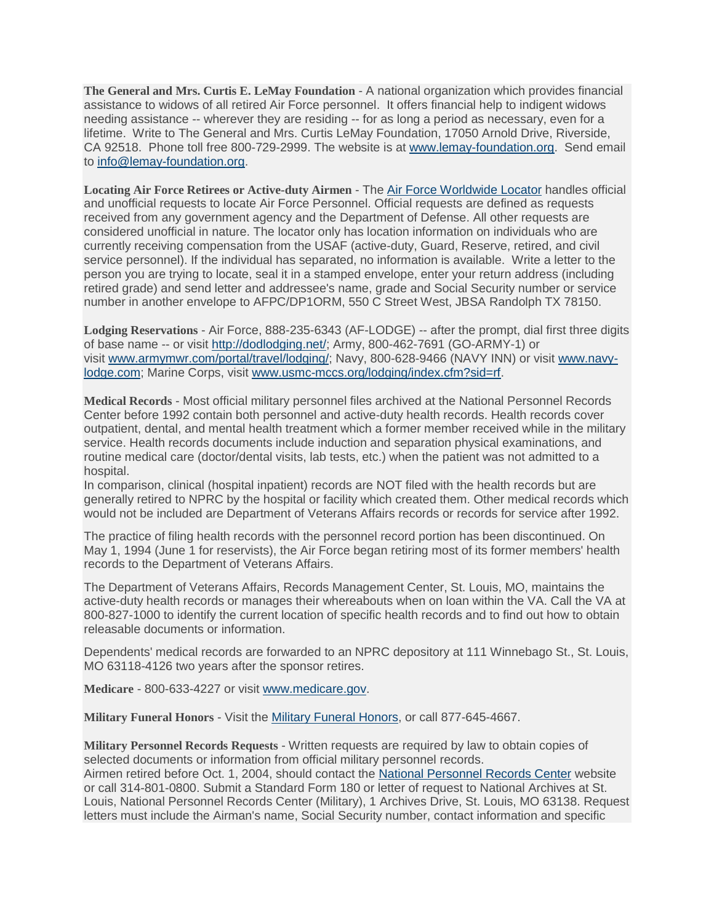**The General and Mrs. Curtis E. LeMay Foundation** - A national organization which provides financial assistance to widows of all retired Air Force personnel. It offers financial help to indigent widows needing assistance -- wherever they are residing -- for as long a period as necessary, even for a lifetime. Write to The General and Mrs. Curtis LeMay Foundation, 17050 Arnold Drive, Riverside, CA 92518. Phone toll free 800-729-2999. The website is at [www.lemay-foundation.org.](file:///R:/10-11%20-%20Retiree%20Services%20-%20SBP/Tammy/RETIREE%20SERVICES%20PUBLIC%20WEB/RESOURCES/www.lemay-foundation.org) Send email to [info@lemay-foundation.org.](mailto:info@lemay-foundation.org)

**Locating Air Force Retirees or Active-duty Airmen** - The Air Force [Worldwide](http://www.afpc.af.mil/Air-Force-Worldwide-Locator/) Locator handles official and unofficial requests to locate Air Force Personnel. Official requests are defined as requests received from any government agency and the Department of Defense. All other requests are considered unofficial in nature. The locator only has location information on individuals who are currently receiving compensation from the USAF (active-duty, Guard, Reserve, retired, and civil service personnel). If the individual has separated, no information is available. Write a letter to the person you are trying to locate, seal it in a stamped envelope, enter your return address (including retired grade) and send letter and addressee's name, grade and Social Security number or service number in another envelope to AFPC/DP1ORM, 550 C Street West, JBSA Randolph TX 78150.

**Lodging Reservations** - Air Force, 888-235-6343 (AF-LODGE) -- after the prompt, dial first three digits of base name -- or visit [http://dodlodging.net/;](http://dodlodging.net/) Army, 800-462-7691 (GO-ARMY-1) or visit [www.armymwr.com/portal/travel/lodging/;](file:///R:/10-11%20-%20Retiree%20Services%20-%20SBP/Tammy/RETIREE%20SERVICES%20PUBLIC%20WEB/RESOURCES/www.armymwr.com/portal/travel/lodging/) Navy, 800-628-9466 (NAVY INN) or visit [www.navy](file:///R:/10-11%20-%20Retiree%20Services%20-%20SBP/Tammy/RETIREE%20SERVICES%20PUBLIC%20WEB/RESOURCES/www.navy-lodge.com)[lodge.com;](file:///R:/10-11%20-%20Retiree%20Services%20-%20SBP/Tammy/RETIREE%20SERVICES%20PUBLIC%20WEB/RESOURCES/www.navy-lodge.com) Marine Corps, visit [www.usmc-mccs.org/lodging/index.cfm?sid=rf.](file:///R:/10-11%20-%20Retiree%20Services%20-%20SBP/Tammy/RETIREE%20SERVICES%20PUBLIC%20WEB/RESOURCES/www.usmc-mccs.org/lodging/index.cfm)

**Medical Records** - Most official military personnel files archived at the National Personnel Records Center before 1992 contain both personnel and active-duty health records. Health records cover outpatient, dental, and mental health treatment which a former member received while in the military service. Health records documents include induction and separation physical examinations, and routine medical care (doctor/dental visits, lab tests, etc.) when the patient was not admitted to a hospital.

In comparison, clinical (hospital inpatient) records are NOT filed with the health records but are generally retired to NPRC by the hospital or facility which created them. Other medical records which would not be included are Department of Veterans Affairs records or records for service after 1992.

The practice of filing health records with the personnel record portion has been discontinued. On May 1, 1994 (June 1 for reservists), the Air Force began retiring most of its former members' health records to the Department of Veterans Affairs.

The Department of Veterans Affairs, Records Management Center, St. Louis, MO, maintains the active-duty health records or manages their whereabouts when on loan within the VA. Call the VA at 800-827-1000 to identify the current location of specific health records and to find out how to obtain releasable documents or information.

Dependents' medical records are forwarded to an NPRC depository at 111 Winnebago St., St. Louis, MO 63118-4126 two years after the sponsor retires.

**Medicare** - 800-633-4227 or visit [www.medicare.gov.](file:///R:/10-11%20-%20Retiree%20Services%20-%20SBP/Tammy/RETIREE%20SERVICES%20PUBLIC%20WEB/RESOURCES/www.medicare.gov)

**Military Funeral Honors** - Visit the Military Funeral [Honors,](https://mfh.dmdc.osd.mil/mfh) or call 877-645-4667.

**Military Personnel Records Requests** - Written requests are required by law to obtain copies of selected documents or information from official military personnel records. Airmen retired before Oct. 1, 2004, should contact the National [Personnel](https://www.archives.gov/veterans/military-service-records) Records Center website or call 314-801-0800. Submit a Standard Form 180 or letter of request to National Archives at St. Louis, National Personnel Records Center (Military), 1 Archives Drive, St. Louis, MO 63138. Request letters must include the Airman's name, Social Security number, contact information and specific